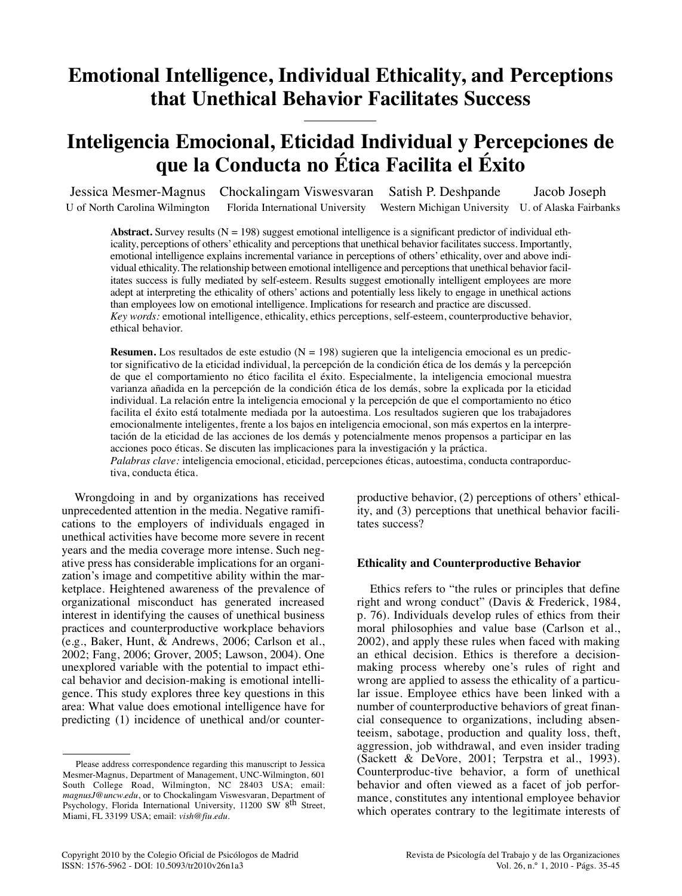# **Emotional Intelligence, Individual Ethicality, and Perceptions that Unethical Behavior Facilitates Success**

# **Inteligencia Emocional, Eticidad Individual y Percepciones de que la Conducta no Ética Facilita el Éxito**

Jessica Mesmer-Magnus Chockalingam Viswesvaran Satish P. Deshpande Jacob Joseph U of North Carolina Wilmington Florida International University Western Michigan University U. of Alaska Fairbanks

**Abstract.** Survey results  $(N = 198)$  suggest emotional intelligence is a significant predictor of individual ethicality, perceptions of others' ethicality and perceptions that unethical behavior facilitates success. Importantly, emotional intelligence explains incremental variance in perceptions of others' ethicality, over and above individual ethicality. The relationship between emotional intelligence and perceptions that unethical behavior facilitates success is fully mediated by self-esteem. Results suggest emotionally intelligent employees are more adept at interpreting the ethicality of others' actions and potentially less likely to engage in unethical actions than employees low on emotional intelligence. Implications for research and practice are discussed. *Key words:* emotional intelligence, ethicality, ethics perceptions, self-esteem, counterproductive behavior, ethical behavior.

**Resumen.** Los resultados de este estudio  $(N = 198)$  sugieren que la inteligencia emocional es un predictor significativo de la eticidad individual, la percepción de la condición ética de los demás y la percepción de que el comportamiento no ético facilita el éxito. Especialmente, la inteligencia emocional muestra varianza añadida en la percepción de la condición ética de los demás, sobre la explicada por la eticidad individual. La relación entre la inteligencia emocional y la percepción de que el comportamiento no ético facilita el éxito está totalmente mediada por la autoestima. Los resultados sugieren que los trabajadores emocionalmente inteligentes, frente a los bajos en inteligencia emocional, son más expertos en la interpretación de la eticidad de las acciones de los demás y potencialmente menos propensos a participar en las acciones poco éticas. Se discuten las implicaciones para la investigación y la práctica.

*Palabras clave:* inteligencia emocional, eticidad, percepciones éticas, autoestima, conducta contraporductiva, conducta ética.

Wrongdoing in and by organizations has received unprecedented attention in the media. Negative ramifications to the employers of individuals engaged in unethical activities have become more severe in recent years and the media coverage more intense. Such negative press has considerable implications for an organization's image and competitive ability within the marketplace. Heightened awareness of the prevalence of organizational misconduct has generated increased interest in identifying the causes of unethical business practices and counterproductive workplace behaviors (e.g., Baker, Hunt, & Andrews, 2006; Carlson et al., 2002; Fang, 2006; Grover, 2005; Lawson, 2004). One unexplored variable with the potential to impact ethical behavior and decision-making is emotional intelligence. This study explores three key questions in this area: What value does emotional intelligence have for predicting (1) incidence of unethical and/or counterproductive behavior, (2) perceptions of others' ethicality, and (3) perceptions that unethical behavior facilitates success?

## **Ethicality and Counterproductive Behavior**

Ethics refers to "the rules or principles that define right and wrong conduct" (Davis & Frederick, 1984, p. 76). Individuals develop rules of ethics from their moral philosophies and value base (Carlson et al., 2002), and apply these rules when faced with making an ethical decision. Ethics is therefore a decisionmaking process whereby one's rules of right and wrong are applied to assess the ethicality of a particular issue. Employee ethics have been linked with a number of counterproductive behaviors of great financial consequence to organizations, including absenteeism, sabotage, production and quality loss, theft, aggression, job withdrawal, and even insider trading (Sackett & DeVore, 2001; Terpstra et al., 1993). Counterproduc-tive behavior, a form of unethical behavior and often viewed as a facet of job performance, constitutes any intentional employee behavior which operates contrary to the legitimate interests of

Please address correspondence regarding this manuscript to Jessica Mesmer-Magnus, Department of Management, UNC-Wilmington, 601 South College Road, Wilmington, NC 28403 USA; email: *magnusJ@uncw.edu*, or to Chockalingam Viswesvaran, Department of Psychology, Florida International University, 11200 SW 8<sup>th</sup> Street, Miami, FL 33199 USA; email: *vish@fiu.edu*.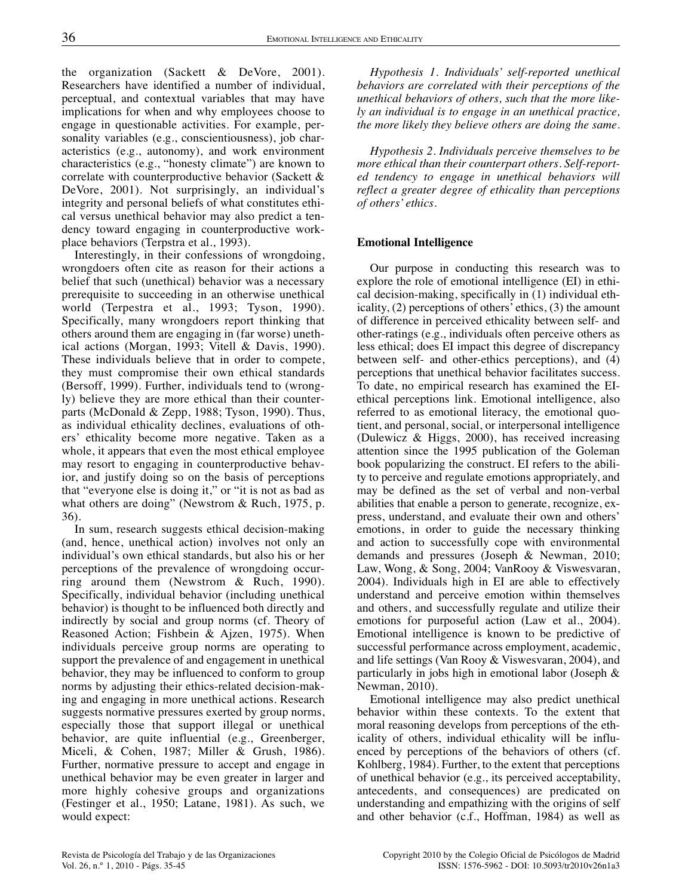the organization (Sackett & DeVore, 2001). Researchers have identified a number of individual, perceptual, and contextual variables that may have implications for when and why employees choose to engage in questionable activities. For example, personality variables (e.g., conscientiousness), job characteristics (e.g., autonomy), and work environment characteristics (e.g., "honesty climate") are known to correlate with counterproductive behavior (Sackett & DeVore, 2001). Not surprisingly, an individual's integrity and personal beliefs of what constitutes ethical versus unethical behavior may also predict a tendency toward engaging in counterproductive workplace behaviors (Terpstra et al., 1993).

Interestingly, in their confessions of wrongdoing, wrongdoers often cite as reason for their actions a belief that such (unethical) behavior was a necessary prerequisite to succeeding in an otherwise unethical world (Terpestra et al., 1993; Tyson, 1990). Specifically, many wrongdoers report thinking that others around them are engaging in (far worse) unethical actions (Morgan, 1993; Vitell & Davis, 1990). These individuals believe that in order to compete, they must compromise their own ethical standards (Bersoff, 1999). Further, individuals tend to (wrongly) believe they are more ethical than their counterparts (McDonald & Zepp, 1988; Tyson, 1990). Thus, as individual ethicality declines, evaluations of others' ethicality become more negative. Taken as a whole, it appears that even the most ethical employee may resort to engaging in counterproductive behavior, and justify doing so on the basis of perceptions that "everyone else is doing it," or "it is not as bad as what others are doing" (Newstrom & Ruch, 1975, p. 36).

In sum, research suggests ethical decision-making (and, hence, unethical action) involves not only an individual's own ethical standards, but also his or her perceptions of the prevalence of wrongdoing occurring around them (Newstrom & Ruch, 1990). Specifically, individual behavior (including unethical behavior) is thought to be influenced both directly and indirectly by social and group norms (cf. Theory of Reasoned Action; Fishbein & Ajzen, 1975). When individuals perceive group norms are operating to support the prevalence of and engagement in unethical behavior, they may be influenced to conform to group norms by adjusting their ethics-related decision-making and engaging in more unethical actions. Research suggests normative pressures exerted by group norms, especially those that support illegal or unethical behavior, are quite influential (e.g., Greenberger, Miceli, & Cohen, 1987; Miller & Grush, 1986). Further, normative pressure to accept and engage in unethical behavior may be even greater in larger and more highly cohesive groups and organizations (Festinger et al., 1950; Latane, 1981). As such, we would expect:

*Hypothesis 1. Individuals' self-reported unethical behaviors are correlated with their perceptions of the unethical behaviors of others, such that the more likely an individual is to engage in an unethical practice, the more likely they believe others are doing the same.*

*Hypothesis 2. Individuals perceive themselves to be more ethical than their counterpart others. Self-reported tendency to engage in unethical behaviors will reflect a greater degree of ethicality than perceptions of others' ethics.*

# **Emotional Intelligence**

Our purpose in conducting this research was to explore the role of emotional intelligence (EI) in ethical decision-making, specifically in (1) individual ethicality, (2) perceptions of others' ethics, (3) the amount of difference in perceived ethicality between self- and other-ratings (e.g., individuals often perceive others as less ethical; does EI impact this degree of discrepancy between self- and other-ethics perceptions), and (4) perceptions that unethical behavior facilitates success. To date, no empirical research has examined the EIethical perceptions link. Emotional intelligence, also referred to as emotional literacy, the emotional quotient, and personal, social, or interpersonal intelligence (Dulewicz & Higgs, 2000), has received increasing attention since the 1995 publication of the Goleman book popularizing the construct. EI refers to the ability to perceive and regulate emotions appropriately, and may be defined as the set of verbal and non-verbal abilities that enable a person to generate, recognize, express, understand, and evaluate their own and others' emotions, in order to guide the necessary thinking and action to successfully cope with environmental demands and pressures (Joseph & Newman, 2010; Law, Wong, & Song, 2004; VanRooy & Viswesvaran, 2004). Individuals high in EI are able to effectively understand and perceive emotion within themselves and others, and successfully regulate and utilize their emotions for purposeful action (Law et al., 2004). Emotional intelligence is known to be predictive of successful performance across employment, academic, and life settings (Van Rooy & Viswesvaran, 2004), and particularly in jobs high in emotional labor (Joseph & Newman, 2010).

Emotional intelligence may also predict unethical behavior within these contexts. To the extent that moral reasoning develops from perceptions of the ethicality of others, individual ethicality will be influenced by perceptions of the behaviors of others (cf. Kohlberg, 1984). Further, to the extent that perceptions of unethical behavior (e.g., its perceived acceptability, antecedents, and consequences) are predicated on understanding and empathizing with the origins of self and other behavior (c.f., Hoffman, 1984) as well as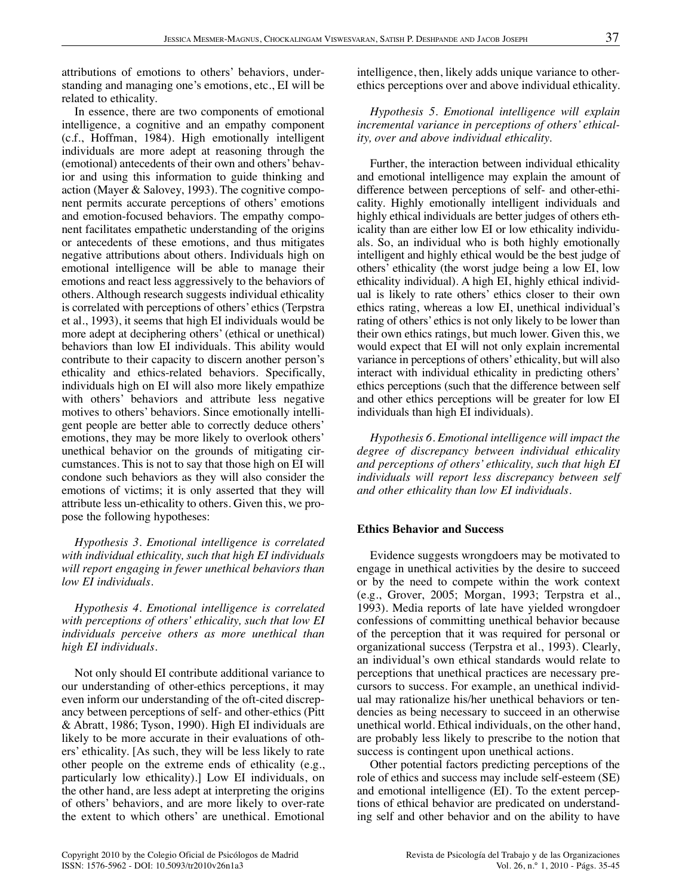attributions of emotions to others' behaviors, understanding and managing one's emotions, etc., EI will be related to ethicality.

In essence, there are two components of emotional intelligence, a cognitive and an empathy component (c.f., Hoffman, 1984). High emotionally intelligent individuals are more adept at reasoning through the (emotional) antecedents of their own and others' behavior and using this information to guide thinking and action (Mayer & Salovey, 1993). The cognitive component permits accurate perceptions of others' emotions and emotion-focused behaviors. The empathy component facilitates empathetic understanding of the origins or antecedents of these emotions, and thus mitigates negative attributions about others. Individuals high on emotional intelligence will be able to manage their emotions and react less aggressively to the behaviors of others. Although research suggests individual ethicality is correlated with perceptions of others' ethics (Terpstra et al., 1993), it seems that high EI individuals would be more adept at deciphering others' (ethical or unethical) behaviors than low EI individuals. This ability would contribute to their capacity to discern another person's ethicality and ethics-related behaviors. Specifically, individuals high on EI will also more likely empathize with others' behaviors and attribute less negative motives to others' behaviors. Since emotionally intelligent people are better able to correctly deduce others' emotions, they may be more likely to overlook others' unethical behavior on the grounds of mitigating circumstances. This is not to say that those high on EI will condone such behaviors as they will also consider the emotions of victims; it is only asserted that they will attribute less un-ethicality to others. Given this, we propose the following hypotheses:

*Hypothesis 3. Emotional intelligence is correlated with individual ethicality, such that high EI individuals will report engaging in fewer unethical behaviors than low EI individuals.*

*Hypothesis 4. Emotional intelligence is correlated with perceptions of others' ethicality, such that low EI individuals perceive others as more unethical than high EI individuals.*

Not only should EI contribute additional variance to our understanding of other-ethics perceptions, it may even inform our understanding of the oft-cited discrepancy between perceptions of self- and other-ethics (Pitt & Abratt, 1986; Tyson, 1990). High EI individuals are likely to be more accurate in their evaluations of others' ethicality. [As such, they will be less likely to rate other people on the extreme ends of ethicality (e.g., particularly low ethicality).] Low EI individuals, on the other hand, are less adept at interpreting the origins of others' behaviors, and are more likely to over-rate the extent to which others' are unethical. Emotional

intelligence, then, likely adds unique variance to otherethics perceptions over and above individual ethicality.

*Hypothesis 5. Emotional intelligence will explain incremental variance in perceptions of others' ethicality, over and above individual ethicality.*

Further, the interaction between individual ethicality and emotional intelligence may explain the amount of difference between perceptions of self- and other-ethicality. Highly emotionally intelligent individuals and highly ethical individuals are better judges of others ethicality than are either low EI or low ethicality individuals. So, an individual who is both highly emotionally intelligent and highly ethical would be the best judge of others' ethicality (the worst judge being a low EI, low ethicality individual). A high EI, highly ethical individual is likely to rate others' ethics closer to their own ethics rating, whereas a low EI, unethical individual's rating of others' ethics is not only likely to be lower than their own ethics ratings, but much lower. Given this, we would expect that EI will not only explain incremental variance in perceptions of others' ethicality, but will also interact with individual ethicality in predicting others' ethics perceptions (such that the difference between self and other ethics perceptions will be greater for low EI individuals than high EI individuals).

*Hypothesis 6. Emotional intelligence will impact the degree of discrepancy between individual ethicality and perceptions of others' ethicality, such that high EI individuals will report less discrepancy between self and other ethicality than low EI individuals.*

## **Ethics Behavior and Success**

Evidence suggests wrongdoers may be motivated to engage in unethical activities by the desire to succeed or by the need to compete within the work context (e.g., Grover, 2005; Morgan, 1993; Terpstra et al., 1993). Media reports of late have yielded wrongdoer confessions of committing unethical behavior because of the perception that it was required for personal or organizational success (Terpstra et al., 1993). Clearly, an individual's own ethical standards would relate to perceptions that unethical practices are necessary precursors to success. For example, an unethical individual may rationalize his/her unethical behaviors or tendencies as being necessary to succeed in an otherwise unethical world. Ethical individuals, on the other hand, are probably less likely to prescribe to the notion that success is contingent upon unethical actions.

Other potential factors predicting perceptions of the role of ethics and success may include self-esteem (SE) and emotional intelligence (EI). To the extent perceptions of ethical behavior are predicated on understanding self and other behavior and on the ability to have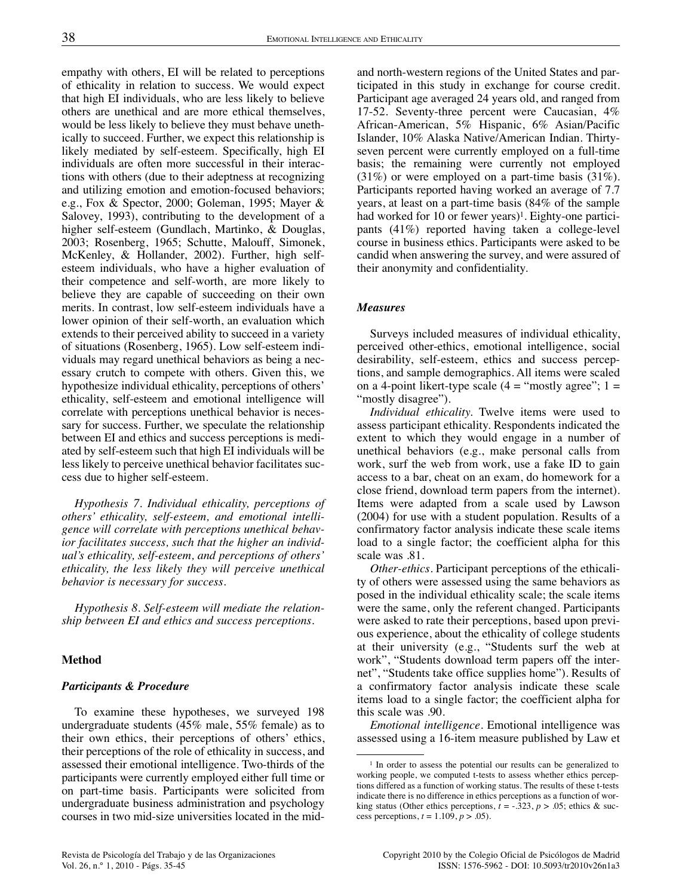empathy with others, EI will be related to perceptions of ethicality in relation to success. We would expect that high EI individuals, who are less likely to believe others are unethical and are more ethical themselves, would be less likely to believe they must behave unethically to succeed. Further, we expect this relationship is likely mediated by self-esteem. Specifically, high EI individuals are often more successful in their interactions with others (due to their adeptness at recognizing and utilizing emotion and emotion-focused behaviors; e.g., Fox & Spector, 2000; Goleman, 1995; Mayer & Salovey, 1993), contributing to the development of a higher self-esteem (Gundlach, Martinko, & Douglas, 2003; Rosenberg, 1965; Schutte, Malouff, Simonek, McKenley, & Hollander, 2002). Further, high selfesteem individuals, who have a higher evaluation of their competence and self-worth, are more likely to believe they are capable of succeeding on their own merits. In contrast, low self-esteem individuals have a lower opinion of their self-worth, an evaluation which extends to their perceived ability to succeed in a variety of situations (Rosenberg, 1965). Low self-esteem individuals may regard unethical behaviors as being a necessary crutch to compete with others. Given this, we hypothesize individual ethicality, perceptions of others' ethicality, self-esteem and emotional intelligence will correlate with perceptions unethical behavior is necessary for success. Further, we speculate the relationship between EI and ethics and success perceptions is mediated by self-esteem such that high EI individuals will be less likely to perceive unethical behavior facilitates success due to higher self-esteem.

*Hypothesis 7. Individual ethicality, perceptions of others' ethicality, self-esteem, and emotional intelligence will correlate with perceptions unethical behavior facilitates success, such that the higher an individual's ethicality, self-esteem, and perceptions of others' ethicality, the less likely they will perceive unethical behavior is necessary for success.*

*Hypothesis 8. Self-esteem will mediate the relationship between EI and ethics and success perceptions.*

#### **Method**

#### *Participants & Procedure*

To examine these hypotheses, we surveyed 198 undergraduate students (45% male, 55% female) as to their own ethics, their perceptions of others' ethics, their perceptions of the role of ethicality in success, and assessed their emotional intelligence. Two-thirds of the participants were currently employed either full time or on part-time basis. Participants were solicited from undergraduate business administration and psychology courses in two mid-size universities located in the midand north-western regions of the United States and participated in this study in exchange for course credit. Participant age averaged 24 years old, and ranged from 17-52. Seventy-three percent were Caucasian, 4% African-American, 5% Hispanic, 6% Asian/Pacific Islander, 10% Alaska Native/American Indian. Thirtyseven percent were currently employed on a full-time basis; the remaining were currently not employed (31%) or were employed on a part-time basis (31%). Participants reported having worked an average of 7.7 years, at least on a part-time basis (84% of the sample had worked for 10 or fewer years)<sup>1</sup>. Eighty-one participants (41%) reported having taken a college-level course in business ethics. Participants were asked to be candid when answering the survey, and were assured of their anonymity and confidentiality.

#### *Measures*

Surveys included measures of individual ethicality, perceived other-ethics, emotional intelligence, social desirability, self-esteem, ethics and success perceptions, and sample demographics. All items were scaled on a 4-point likert-type scale  $(4 = "mostly agree"; 1 =$ "mostly disagree").

*Individual ethicality.* Twelve items were used to assess participant ethicality. Respondents indicated the extent to which they would engage in a number of unethical behaviors (e.g., make personal calls from work, surf the web from work, use a fake ID to gain access to a bar, cheat on an exam, do homework for a close friend, download term papers from the internet). Items were adapted from a scale used by Lawson (2004) for use with a student population. Results of a confirmatory factor analysis indicate these scale items load to a single factor; the coefficient alpha for this scale was .81.

*Other-ethics.* Participant perceptions of the ethicality of others were assessed using the same behaviors as posed in the individual ethicality scale; the scale items were the same, only the referent changed. Participants were asked to rate their perceptions, based upon previous experience, about the ethicality of college students at their university (e.g., "Students surf the web at work", "Students download term papers off the internet", "Students take office supplies home"). Results of a confirmatory factor analysis indicate these scale items load to a single factor; the coefficient alpha for this scale was .90.

*Emotional intelligence.* Emotional intelligence was assessed using a 16-item measure published by Law et

<sup>1</sup> In order to assess the potential our results can be generalized to working people, we computed t-tests to assess whether ethics perceptions differed as a function of working status. The results of these t-tests indicate there is no difference in ethics perceptions as a function of working status (Other ethics perceptions,  $t = -.323$ ,  $p > .05$ ; ethics & success perceptions,  $t = 1.109$ ,  $p > .05$ ).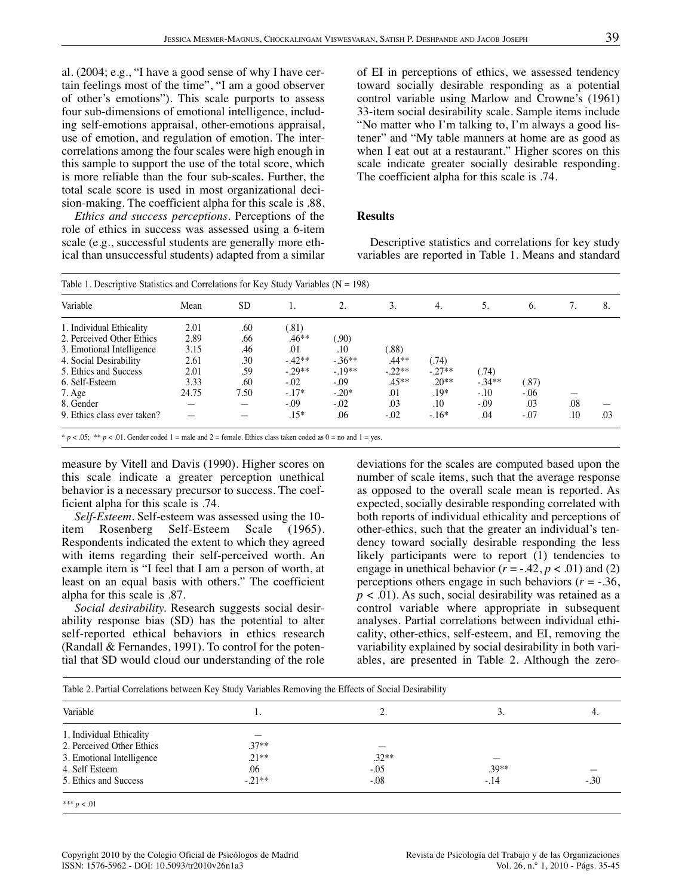al. (2004; e.g., "I have a good sense of why I have certain feelings most of the time", "I am a good observer of other's emotions"). This scale purports to assess four sub-dimensions of emotional intelligence, including self-emotions appraisal, other-emotions appraisal, use of emotion, and regulation of emotion. The intercorrelations among the four scales were high enough in this sample to support the use of the total score, which is more reliable than the four sub-scales. Further, the total scale score is used in most organizational decision-making. The coefficient alpha for this scale is .88.

*Ethics and success perceptions.* Perceptions of the role of ethics in success was assessed using a 6-item scale (e.g., successful students are generally more ethical than unsuccessful students) adapted from a similar of EI in perceptions of ethics, we assessed tendency toward socially desirable responding as a potential control variable using Marlow and Crowne's (1961) 33-item social desirability scale. Sample items include "No matter who I'm talking to, I'm always a good listener" and "My table manners at home are as good as when I eat out at a restaurant." Higher scores on this scale indicate greater socially desirable responding. The coefficient alpha for this scale is .74.

### **Results**

Descriptive statistics and correlations for key study variables are reported in Table 1. Means and standard

| Variable                    | Mean  | <b>SD</b> |           |         | 3.       | 4.      | 5.      | 6.      |     | 8.  |
|-----------------------------|-------|-----------|-----------|---------|----------|---------|---------|---------|-----|-----|
| 1. Individual Ethicality    | 2.01  | .60       | (.81)     |         |          |         |         |         |     |     |
| 2. Perceived Other Ethics   | 2.89  | .66       | .46**     | (90)    |          |         |         |         |     |     |
| 3. Emotional Intelligence   | 3.15  | .46       | .01       | .10     | (88)     |         |         |         |     |     |
| 4. Social Desirability      | 2.61  | .30       | $-42**$   | $-36**$ | $.44**$  | (74)    |         |         |     |     |
| 5. Ethics and Success       | 2.01  | .59       | $-0.29**$ | $-19**$ | $-.22**$ | $-27**$ | (.74)   |         |     |     |
| 6. Self-Esteem              | 3.33  | .60       | $-0.02$   | $-0.09$ | $.45**$  | $.20**$ | $-34**$ | (.87)   |     |     |
| 7. Age                      | 24.75 | 7.50      | $-.17*$   | $-.20*$ | .01      | .19*    | $-.10$  | $-0.06$ |     |     |
| 8. Gender                   |       |           | $-0.09$   | $-0.02$ | .03      | .10     | $-.09$  | .03     | .08 |     |
| 9. Ethics class ever taken? |       |           | $.15*$    | .06     | $-0.02$  | $-.16*$ | .04     | -.07    | .10 | .03 |

 $* p < .05;$  \*\*  $p < .01$ . Gender coded 1 = male and 2 = female. Ethics class taken coded as 0 = no and 1 = yes.

measure by Vitell and Davis (1990). Higher scores on this scale indicate a greater perception unethical behavior is a necessary precursor to success. The coefficient alpha for this scale is .74.

*Self-Esteem.* Self-esteem was assessed using the 10-<br>item Rosenberg Self-Esteem Scale (1965). Self-Esteem Respondents indicated the extent to which they agreed with items regarding their self-perceived worth. An example item is "I feel that I am a person of worth, at least on an equal basis with others." The coefficient alpha for this scale is .87.

*Social desirability.* Research suggests social desirability response bias (SD) has the potential to alter self-reported ethical behaviors in ethics research (Randall & Fernandes, 1991). To control for the potential that SD would cloud our understanding of the role

deviations for the scales are computed based upon the number of scale items, such that the average response as opposed to the overall scale mean is reported. As expected, socially desirable responding correlated with both reports of individual ethicality and perceptions of other-ethics, such that the greater an individual's tendency toward socially desirable responding the less likely participants were to report (1) tendencies to engage in unethical behavior  $(r = -0.42, p < 0.01)$  and (2) perceptions others engage in such behaviors ( $r = -0.36$ ,  $p < .01$ ). As such, social desirability was retained as a control variable where appropriate in subsequent analyses. Partial correlations between individual ethicality, other-ethics, self-esteem, and EI, removing the variability explained by social desirability in both variables, are presented in Table 2. Although the zero-

| Variable                  |         |         | 3.      | 4.     |
|---------------------------|---------|---------|---------|--------|
| 1. Individual Ethicality  |         |         |         |        |
| 2. Perceived Other Ethics | $.37**$ |         |         |        |
| 3. Emotional Intelligence | $21**$  | $.32**$ |         |        |
| 4. Self Esteem            | .06     | $-0.5$  | $.39**$ |        |
| 5. Ethics and Success     | $-21**$ | $-0.08$ | $-.14$  | $-.30$ |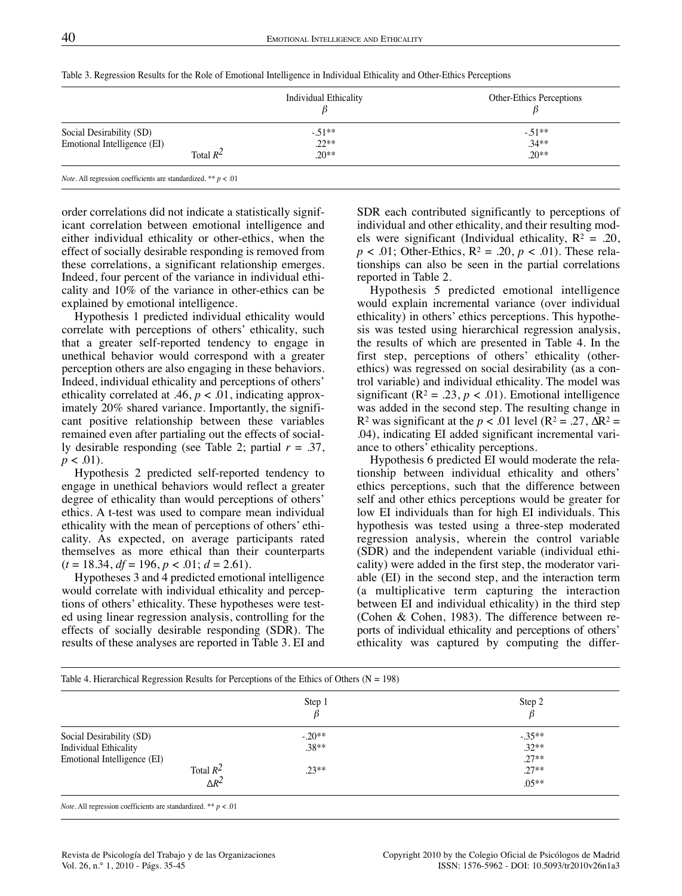|                             | <b>Individual Ethicality</b> | Other-Ethics Perceptions |
|-----------------------------|------------------------------|--------------------------|
| Social Desirability (SD)    | $-51**$                      | $-51**$                  |
| Emotional Intelligence (EI) | $.22**$                      | $.34**$                  |
| Total $R^2$                 | $.20**$                      | $.20**$                  |

Table 3. Regression Results for the Role of Emotional Intelligence in Individual Ethicality and Other-Ethics Perceptions

order correlations did not indicate a statistically significant correlation between emotional intelligence and either individual ethicality or other-ethics, when the effect of socially desirable responding is removed from these correlations, a significant relationship emerges. Indeed, four percent of the variance in individual ethicality and 10% of the variance in other-ethics can be explained by emotional intelligence.

Hypothesis 1 predicted individual ethicality would correlate with perceptions of others' ethicality, such that a greater self-reported tendency to engage in unethical behavior would correspond with a greater perception others are also engaging in these behaviors. Indeed, individual ethicality and perceptions of others' ethicality correlated at .46,  $p < .01$ , indicating approximately 20% shared variance. Importantly, the significant positive relationship between these variables remained even after partialing out the effects of socially desirable responding (see Table 2; partial *r* = .37,  $p < .01$ ).

Hypothesis 2 predicted self-reported tendency to engage in unethical behaviors would reflect a greater degree of ethicality than would perceptions of others' ethics. A t-test was used to compare mean individual ethicality with the mean of perceptions of others' ethicality. As expected, on average participants rated themselves as more ethical than their counterparts  $(t = 18.34, df = 196, p < .01; d = 2.61)$ .

Hypotheses 3 and 4 predicted emotional intelligence would correlate with individual ethicality and perceptions of others' ethicality. These hypotheses were tested using linear regression analysis, controlling for the effects of socially desirable responding (SDR). The results of these analyses are reported in Table 3. EI and SDR each contributed significantly to perceptions of individual and other ethicality, and their resulting models were significant (Individual ethicality,  $R^2 = .20$ ,  $p < .01$ ; Other-Ethics,  $R^2 = .20$ ,  $p < .01$ ). These relationships can also be seen in the partial correlations reported in Table 2.

Hypothesis 5 predicted emotional intelligence would explain incremental variance (over individual ethicality) in others' ethics perceptions. This hypothesis was tested using hierarchical regression analysis, the results of which are presented in Table 4. In the first step, perceptions of others' ethicality (otherethics) was regressed on social desirability (as a control variable) and individual ethicality. The model was significant ( $\mathbb{R}^2 = .23$ ,  $p < .01$ ). Emotional intelligence was added in the second step. The resulting change in R<sup>2</sup> was significant at the  $p < .01$  level (R<sup>2</sup> = .27,  $\Delta$ R<sup>2</sup> = .04), indicating EI added significant incremental variance to others' ethicality perceptions.

Hypothesis 6 predicted EI would moderate the relationship between individual ethicality and others' ethics perceptions, such that the difference between self and other ethics perceptions would be greater for low EI individuals than for high EI individuals. This hypothesis was tested using a three-step moderated regression analysis, wherein the control variable (SDR) and the independent variable (individual ethicality) were added in the first step, the moderator variable (EI) in the second step, and the interaction term (a multiplicative term capturing the interaction between EI and individual ethicality) in the third step (Cohen & Cohen, 1983). The difference between reports of individual ethicality and perceptions of others' ethicality was captured by computing the differ-

|                             | Step 1   | Step 2  |
|-----------------------------|----------|---------|
|                             |          |         |
| Social Desirability (SD)    | $-.20**$ | $-35**$ |
| Individual Ethicality       | $.38**$  | $.32**$ |
| Emotional Intelligence (EI) |          | $.27**$ |
| Total $R^2$                 | $.23**$  | $.27**$ |
| $\Delta R^2$                |          | $.05**$ |

*Note.* All regression coefficients are standardized. \*\* *p* < .01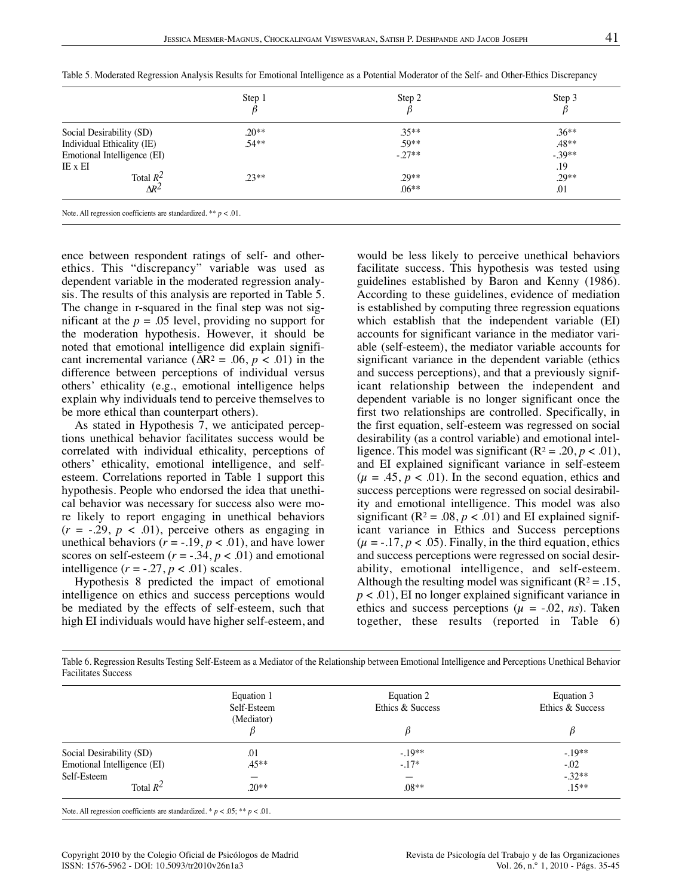|                             | Step 1  | Step 2   | Step 3  |
|-----------------------------|---------|----------|---------|
| Social Desirability (SD)    | $.20**$ | $.35**$  | $.36**$ |
| Individual Ethicality (IE)  | $.54**$ | $.59**$  | $.48**$ |
| Emotional Intelligence (EI) |         | $-.27**$ | $-39**$ |
| IE x EI                     |         |          | .19     |
| Total $R^2$<br>$\Delta R^2$ | $.23**$ | $.29**$  | $.29**$ |
|                             |         | $.06**$  | .01     |

Table 5. Moderated Regression Analysis Results for Emotional Intelligence as a Potential Moderator of the Self- and Other-Ethics Discrepancy

ence between respondent ratings of self- and otherethics. This "discrepancy" variable was used as dependent variable in the moderated regression analysis. The results of this analysis are reported in Table 5. The change in r-squared in the final step was not significant at the  $p = .05$  level, providing no support for the moderation hypothesis. However, it should be noted that emotional intelligence did explain significant incremental variance ( $\Delta R^2 = .06$ ,  $p < .01$ ) in the difference between perceptions of individual versus others' ethicality (e.g., emotional intelligence helps explain why individuals tend to perceive themselves to be more ethical than counterpart others).

As stated in Hypothesis 7, we anticipated perceptions unethical behavior facilitates success would be correlated with individual ethicality, perceptions of others' ethicality, emotional intelligence, and selfesteem. Correlations reported in Table 1 support this hypothesis. People who endorsed the idea that unethical behavior was necessary for success also were more likely to report engaging in unethical behaviors  $(r = -0.29, p < 0.01)$ , perceive others as engaging in unethical behaviors  $(r = -.19, p < .01)$ , and have lower scores on self-esteem  $(r = -.34, p < .01)$  and emotional intelligence  $(r = -.27, p < .01)$  scales.

Hypothesis 8 predicted the impact of emotional intelligence on ethics and success perceptions would be mediated by the effects of self-esteem, such that high EI individuals would have higher self-esteem, and would be less likely to perceive unethical behaviors facilitate success. This hypothesis was tested using guidelines established by Baron and Kenny (1986). According to these guidelines, evidence of mediation is established by computing three regression equations which establish that the independent variable (EI) accounts for significant variance in the mediator variable (self-esteem), the mediator variable accounts for significant variance in the dependent variable (ethics and success perceptions), and that a previously significant relationship between the independent and dependent variable is no longer significant once the first two relationships are controlled. Specifically, in the first equation, self-esteem was regressed on social desirability (as a control variable) and emotional intelligence. This model was significant  $(R^2 = .20, p < .01)$ , and EI explained significant variance in self-esteem  $(\mu = .45, p < .01)$ . In the second equation, ethics and success perceptions were regressed on social desirability and emotional intelligence. This model was also significant ( $\mathbb{R}^2 = .08$ ,  $p < .01$ ) and EI explained significant variance in Ethics and Success perceptions  $(\mu = -.17, p < .05)$ . Finally, in the third equation, ethics and success perceptions were regressed on social desirability, emotional intelligence, and self-esteem. Although the resulting model was significant ( $R^2 = .15$ , *p* < .01), EI no longer explained significant variance in ethics and success perceptions ( $\mu$  = -.02, *ns*). Taken together, these results (reported in Table 6)

| Table 6. Regression Results Testing Self-Esteem as a Mediator of the Relationship between Emotional Intelligence and Perceptions Unethical Behavior |  |  |  |
|-----------------------------------------------------------------------------------------------------------------------------------------------------|--|--|--|
| <b>Facilitates Success</b>                                                                                                                          |  |  |  |

|                             | Equation 1<br>Self-Esteem | Equation 2<br>Ethics & Success | Equation 3<br>Ethics & Success |
|-----------------------------|---------------------------|--------------------------------|--------------------------------|
|                             | (Mediator)                | ß                              |                                |
| Social Desirability (SD)    | .01                       | $-.19**$                       | $-.19**$                       |
| Emotional Intelligence (EI) | $.45**$                   | $-.17*$                        | $-.02$                         |
| Self-Esteem                 |                           | –                              | $-32**$                        |
| Total $R^2$                 | $20**$                    | $.08**$                        | $.15***$                       |

Note. All regression coefficients are standardized. \*  $p < .05$ ; \*\*  $p < .01$ .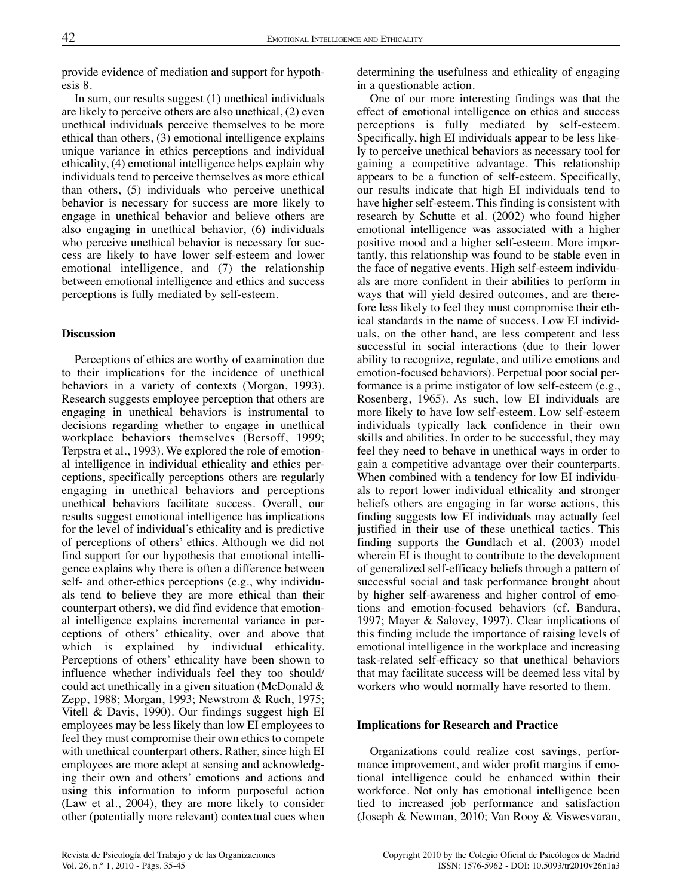provide evidence of mediation and support for hypothesis 8.

In sum, our results suggest (1) unethical individuals are likely to perceive others are also unethical, (2) even unethical individuals perceive themselves to be more ethical than others, (3) emotional intelligence explains unique variance in ethics perceptions and individual ethicality, (4) emotional intelligence helps explain why individuals tend to perceive themselves as more ethical than others, (5) individuals who perceive unethical behavior is necessary for success are more likely to engage in unethical behavior and believe others are also engaging in unethical behavior, (6) individuals who perceive unethical behavior is necessary for success are likely to have lower self-esteem and lower emotional intelligence, and (7) the relationship between emotional intelligence and ethics and success perceptions is fully mediated by self-esteem.

## **Discussion**

Perceptions of ethics are worthy of examination due to their implications for the incidence of unethical behaviors in a variety of contexts (Morgan, 1993). Research suggests employee perception that others are engaging in unethical behaviors is instrumental to decisions regarding whether to engage in unethical workplace behaviors themselves (Bersoff, 1999; Terpstra et al., 1993). We explored the role of emotional intelligence in individual ethicality and ethics perceptions, specifically perceptions others are regularly engaging in unethical behaviors and perceptions unethical behaviors facilitate success. Overall, our results suggest emotional intelligence has implications for the level of individual's ethicality and is predictive of perceptions of others' ethics. Although we did not find support for our hypothesis that emotional intelligence explains why there is often a difference between self- and other-ethics perceptions (e.g., why individuals tend to believe they are more ethical than their counterpart others), we did find evidence that emotional intelligence explains incremental variance in perceptions of others' ethicality, over and above that which is explained by individual ethicality. Perceptions of others' ethicality have been shown to influence whether individuals feel they too should/ could act unethically in a given situation (McDonald & Zepp, 1988; Morgan, 1993; Newstrom & Ruch, 1975; Vitell & Davis, 1990). Our findings suggest high EI employees may be less likely than low EI employees to feel they must compromise their own ethics to compete with unethical counterpart others. Rather, since high EI employees are more adept at sensing and acknowledging their own and others' emotions and actions and using this information to inform purposeful action (Law et al., 2004), they are more likely to consider other (potentially more relevant) contextual cues when determining the usefulness and ethicality of engaging in a questionable action.

One of our more interesting findings was that the effect of emotional intelligence on ethics and success perceptions is fully mediated by self-esteem. Specifically, high EI individuals appear to be less likely to perceive unethical behaviors as necessary tool for gaining a competitive advantage. This relationship appears to be a function of self-esteem. Specifically, our results indicate that high EI individuals tend to have higher self-esteem. This finding is consistent with research by Schutte et al. (2002) who found higher emotional intelligence was associated with a higher positive mood and a higher self-esteem. More importantly, this relationship was found to be stable even in the face of negative events. High self-esteem individuals are more confident in their abilities to perform in ways that will yield desired outcomes, and are therefore less likely to feel they must compromise their ethical standards in the name of success. Low EI individuals, on the other hand, are less competent and less successful in social interactions (due to their lower ability to recognize, regulate, and utilize emotions and emotion-focused behaviors). Perpetual poor social performance is a prime instigator of low self-esteem (e.g., Rosenberg, 1965). As such, low EI individuals are more likely to have low self-esteem. Low self-esteem individuals typically lack confidence in their own skills and abilities. In order to be successful, they may feel they need to behave in unethical ways in order to gain a competitive advantage over their counterparts. When combined with a tendency for low EI individuals to report lower individual ethicality and stronger beliefs others are engaging in far worse actions, this finding suggests low EI individuals may actually feel justified in their use of these unethical tactics. This finding supports the Gundlach et al. (2003) model wherein EI is thought to contribute to the development of generalized self-efficacy beliefs through a pattern of successful social and task performance brought about by higher self-awareness and higher control of emotions and emotion-focused behaviors (cf. Bandura, 1997; Mayer & Salovey, 1997). Clear implications of this finding include the importance of raising levels of emotional intelligence in the workplace and increasing task-related self-efficacy so that unethical behaviors that may facilitate success will be deemed less vital by workers who would normally have resorted to them.

#### **Implications for Research and Practice**

Organizations could realize cost savings, performance improvement, and wider profit margins if emotional intelligence could be enhanced within their workforce. Not only has emotional intelligence been tied to increased job performance and satisfaction (Joseph & Newman, 2010; Van Rooy & Viswesvaran,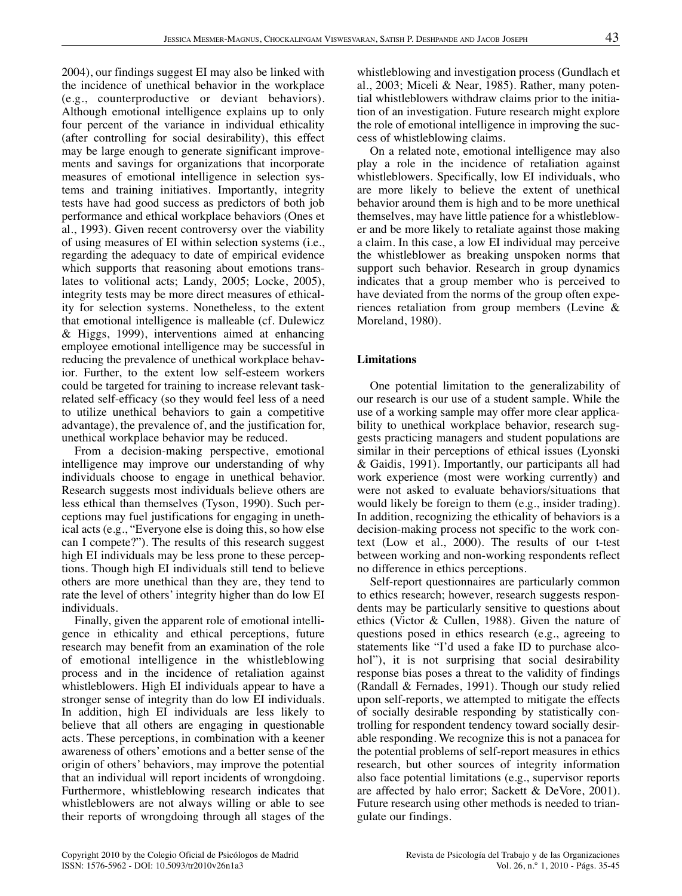whistleblowing and investigation process (Gundlach et al., 2003; Miceli & Near, 1985). Rather, many potential whistleblowers withdraw claims prior to the initiation of an investigation. Future research might explore the role of emotional intelligence in improving the success of whistleblowing claims.

On a related note, emotional intelligence may also play a role in the incidence of retaliation against whistleblowers. Specifically, low EI individuals, who are more likely to believe the extent of unethical behavior around them is high and to be more unethical themselves, may have little patience for a whistleblower and be more likely to retaliate against those making a claim. In this case, a low EI individual may perceive the whistleblower as breaking unspoken norms that support such behavior. Research in group dynamics indicates that a group member who is perceived to have deviated from the norms of the group often experiences retaliation from group members (Levine & Moreland, 1980).

# **Limitations**

One potential limitation to the generalizability of our research is our use of a student sample. While the use of a working sample may offer more clear applicability to unethical workplace behavior, research suggests practicing managers and student populations are similar in their perceptions of ethical issues (Lyonski & Gaidis, 1991). Importantly, our participants all had work experience (most were working currently) and were not asked to evaluate behaviors/situations that would likely be foreign to them (e.g., insider trading). In addition, recognizing the ethicality of behaviors is a decision-making process not specific to the work context (Low et al., 2000). The results of our t-test between working and non-working respondents reflect no difference in ethics perceptions.

Self-report questionnaires are particularly common to ethics research; however, research suggests respondents may be particularly sensitive to questions about ethics (Victor & Cullen, 1988). Given the nature of questions posed in ethics research (e.g., agreeing to statements like "I'd used a fake ID to purchase alcohol"), it is not surprising that social desirability response bias poses a threat to the validity of findings (Randall & Fernades, 1991). Though our study relied upon self-reports, we attempted to mitigate the effects of socially desirable responding by statistically controlling for respondent tendency toward socially desirable responding. We recognize this is not a panacea for the potential problems of self-report measures in ethics research, but other sources of integrity information also face potential limitations (e.g., supervisor reports are affected by halo error; Sackett & DeVore, 2001). Future research using other methods is needed to triangulate our findings.

2004), our findings suggest EI may also be linked with the incidence of unethical behavior in the workplace (e.g., counterproductive or deviant behaviors). Although emotional intelligence explains up to only four percent of the variance in individual ethicality (after controlling for social desirability), this effect may be large enough to generate significant improvements and savings for organizations that incorporate measures of emotional intelligence in selection systems and training initiatives. Importantly, integrity tests have had good success as predictors of both job performance and ethical workplace behaviors (Ones et al., 1993). Given recent controversy over the viability of using measures of EI within selection systems (i.e., regarding the adequacy to date of empirical evidence which supports that reasoning about emotions translates to volitional acts; Landy, 2005; Locke, 2005), integrity tests may be more direct measures of ethicality for selection systems. Nonetheless, to the extent that emotional intelligence is malleable (cf. Dulewicz & Higgs, 1999), interventions aimed at enhancing employee emotional intelligence may be successful in reducing the prevalence of unethical workplace behavior. Further, to the extent low self-esteem workers could be targeted for training to increase relevant taskrelated self-efficacy (so they would feel less of a need to utilize unethical behaviors to gain a competitive advantage), the prevalence of, and the justification for, unethical workplace behavior may be reduced.

From a decision-making perspective, emotional intelligence may improve our understanding of why individuals choose to engage in unethical behavior. Research suggests most individuals believe others are less ethical than themselves (Tyson, 1990). Such perceptions may fuel justifications for engaging in unethical acts (e.g., "Everyone else is doing this, so how else can I compete?"). The results of this research suggest high EI individuals may be less prone to these perceptions. Though high EI individuals still tend to believe others are more unethical than they are, they tend to rate the level of others' integrity higher than do low EI individuals.

Finally, given the apparent role of emotional intelligence in ethicality and ethical perceptions, future research may benefit from an examination of the role of emotional intelligence in the whistleblowing process and in the incidence of retaliation against whistleblowers. High EI individuals appear to have a stronger sense of integrity than do low EI individuals. In addition, high EI individuals are less likely to believe that all others are engaging in questionable acts. These perceptions, in combination with a keener awareness of others' emotions and a better sense of the origin of others' behaviors, may improve the potential that an individual will report incidents of wrongdoing. Furthermore, whistleblowing research indicates that whistleblowers are not always willing or able to see their reports of wrongdoing through all stages of the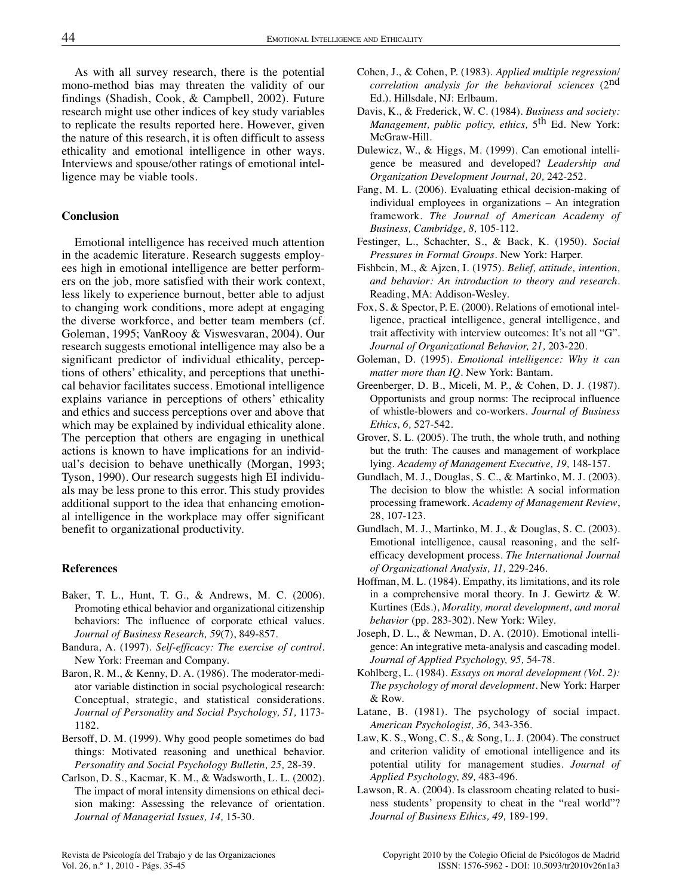As with all survey research, there is the potential mono-method bias may threaten the validity of our findings (Shadish, Cook, & Campbell, 2002). Future research might use other indices of key study variables to replicate the results reported here. However, given the nature of this research, it is often difficult to assess ethicality and emotional intelligence in other ways. Interviews and spouse/other ratings of emotional intelligence may be viable tools.

#### **Conclusion**

Emotional intelligence has received much attention in the academic literature. Research suggests employees high in emotional intelligence are better performers on the job, more satisfied with their work context, less likely to experience burnout, better able to adjust to changing work conditions, more adept at engaging the diverse workforce, and better team members (cf. Goleman, 1995; VanRooy & Viswesvaran, 2004). Our research suggests emotional intelligence may also be a significant predictor of individual ethicality, perceptions of others' ethicality, and perceptions that unethical behavior facilitates success. Emotional intelligence explains variance in perceptions of others' ethicality and ethics and success perceptions over and above that which may be explained by individual ethicality alone. The perception that others are engaging in unethical actions is known to have implications for an individual's decision to behave unethically (Morgan, 1993; Tyson, 1990). Our research suggests high EI individuals may be less prone to this error. This study provides additional support to the idea that enhancing emotional intelligence in the workplace may offer significant benefit to organizational productivity.

#### **References**

- Baker, T. L., Hunt, T. G., & Andrews, M. C. (2006). Promoting ethical behavior and organizational citizenship behaviors: The influence of corporate ethical values. *Journal of Business Research, 59*(7), 849-857.
- Bandura, A. (1997). *Self-efficacy: The exercise of control.* New York: Freeman and Company.
- Baron, R. M., & Kenny, D. A. (1986). The moderator-mediator variable distinction in social psychological research: Conceptual, strategic, and statistical considerations. *Journal of Personality and Social Psychology, 51,* 1173- 1182.
- Bersoff, D. M. (1999). Why good people sometimes do bad things: Motivated reasoning and unethical behavior. *Personality and Social Psychology Bulletin, 25,* 28-39.
- Carlson, D. S., Kacmar, K. M., & Wadsworth, L. L. (2002). The impact of moral intensity dimensions on ethical decision making: Assessing the relevance of orientation. *Journal of Managerial Issues, 14,* 15-30.
- Cohen, J., & Cohen, P. (1983). *Applied multiple regression/ correlation analysis for the behavioral sciences* (2nd Ed.). Hillsdale, NJ: Erlbaum.
- Davis, K., & Frederick, W. C. (1984). *Business and society: Management, public policy, ethics,* 5th Ed. New York: McGraw-Hill.
- Dulewicz, W., & Higgs, M. (1999). Can emotional intelligence be measured and developed? *Leadership and Organization Development Journal, 20,* 242-252.
- Fang, M. L. (2006). Evaluating ethical decision-making of individual employees in organizations – An integration framework. *The Journal of American Academy of Business, Cambridge, 8,* 105-112.
- Festinger, L., Schachter, S., & Back, K. (1950). *Social Pressures in Formal Groups.* New York: Harper.
- Fishbein, M., & Ajzen, I. (1975). *Belief, attitude, intention, and behavior: An introduction to theory and research.* Reading, MA: Addison-Wesley.
- Fox, S. & Spector, P. E. (2000). Relations of emotional intelligence, practical intelligence, general intelligence, and trait affectivity with interview outcomes: It's not all "G". *Journal of Organizational Behavior, 21,* 203-220.
- Goleman, D. (1995). *Emotional intelligence: Why it can matter more than IQ.* New York: Bantam.
- Greenberger, D. B., Miceli, M. P., & Cohen, D. J. (1987). Opportunists and group norms: The reciprocal influence of whistle-blowers and co-workers. *Journal of Business Ethics, 6,* 527-542.
- Grover, S. L. (2005). The truth, the whole truth, and nothing but the truth: The causes and management of workplace lying. *Academy of Management Executive, 19,* 148-157.
- Gundlach, M. J., Douglas, S. C., & Martinko, M. J. (2003). The decision to blow the whistle: A social information processing framework. *Academy of Management Review*, 28, 107-123.
- Gundlach, M. J., Martinko, M. J., & Douglas, S. C. (2003). Emotional intelligence, causal reasoning, and the selfefficacy development process. *The International Journal of Organizational Analysis, 11,* 229-246.
- Hoffman, M. L. (1984). Empathy, its limitations, and its role in a comprehensive moral theory. In J. Gewirtz & W. Kurtines (Eds.), *Morality, moral development, and moral behavior* (pp. 283-302). New York: Wiley.
- Joseph, D. L., & Newman, D. A. (2010). Emotional intelligence: An integrative meta-analysis and cascading model. *Journal of Applied Psychology, 95,* 54-78.
- Kohlberg, L. (1984). *Essays on moral development (Vol. 2): The psychology of moral development.* New York: Harper & Row.
- Latane, B. (1981). The psychology of social impact. *American Psychologist, 36,* 343-356.
- Law, K. S., Wong, C. S., & Song, L. J. (2004). The construct and criterion validity of emotional intelligence and its potential utility for management studies. *Journal of Applied Psychology, 89,* 483-496.
- Lawson, R. A. (2004). Is classroom cheating related to business students' propensity to cheat in the "real world"? *Journal of Business Ethics, 49,* 189-199.